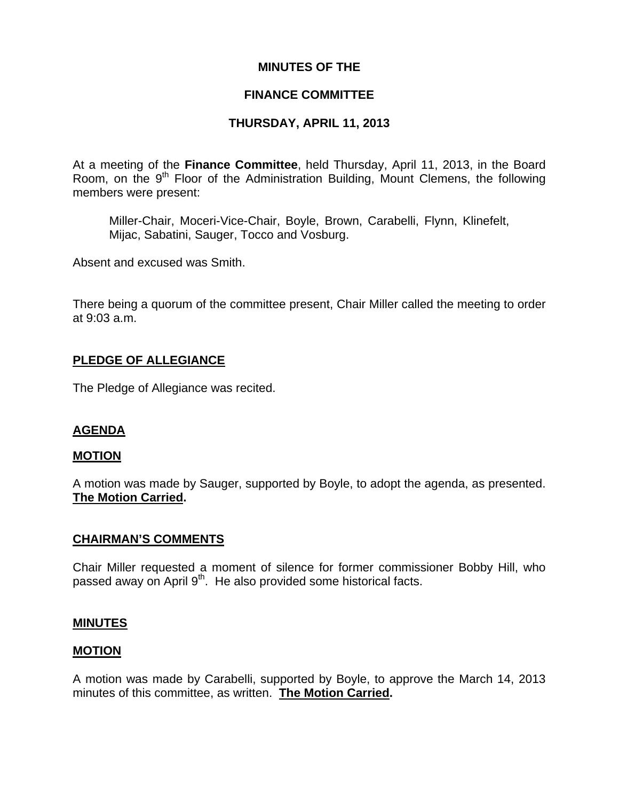### **MINUTES OF THE**

## **FINANCE COMMITTEE**

# **THURSDAY, APRIL 11, 2013**

At a meeting of the **Finance Committee**, held Thursday, April 11, 2013, in the Board Room, on the 9<sup>th</sup> Floor of the Administration Building, Mount Clemens, the following members were present:

Miller-Chair, Moceri-Vice-Chair, Boyle, Brown, Carabelli, Flynn, Klinefelt, Mijac, Sabatini, Sauger, Tocco and Vosburg.

Absent and excused was Smith.

There being a quorum of the committee present, Chair Miller called the meeting to order at 9:03 a.m.

### **PLEDGE OF ALLEGIANCE**

The Pledge of Allegiance was recited.

# **AGENDA**

#### **MOTION**

A motion was made by Sauger, supported by Boyle, to adopt the agenda, as presented. **The Motion Carried.** 

#### **CHAIRMAN'S COMMENTS**

Chair Miller requested a moment of silence for former commissioner Bobby Hill, who passed away on April 9<sup>th</sup>. He also provided some historical facts.

#### **MINUTES**

#### **MOTION**

A motion was made by Carabelli, supported by Boyle, to approve the March 14, 2013 minutes of this committee, as written. **The Motion Carried.**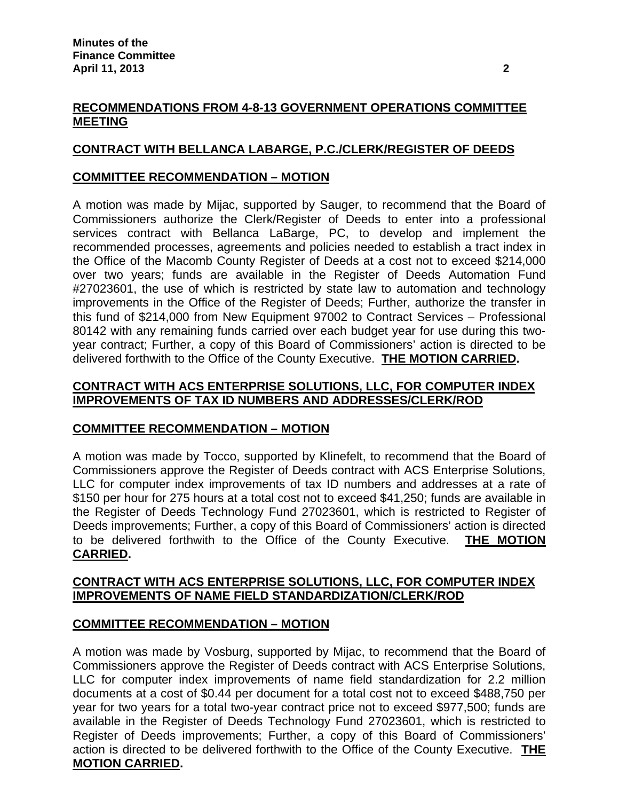# **RECOMMENDATIONS FROM 4-8-13 GOVERNMENT OPERATIONS COMMITTEE MEETING**

# **CONTRACT WITH BELLANCA LABARGE, P.C./CLERK/REGISTER OF DEEDS**

## **COMMITTEE RECOMMENDATION – MOTION**

A motion was made by Mijac, supported by Sauger, to recommend that the Board of Commissioners authorize the Clerk/Register of Deeds to enter into a professional services contract with Bellanca LaBarge, PC, to develop and implement the recommended processes, agreements and policies needed to establish a tract index in the Office of the Macomb County Register of Deeds at a cost not to exceed \$214,000 over two years; funds are available in the Register of Deeds Automation Fund #27023601, the use of which is restricted by state law to automation and technology improvements in the Office of the Register of Deeds; Further, authorize the transfer in this fund of \$214,000 from New Equipment 97002 to Contract Services – Professional 80142 with any remaining funds carried over each budget year for use during this twoyear contract; Further, a copy of this Board of Commissioners' action is directed to be delivered forthwith to the Office of the County Executive. **THE MOTION CARRIED.** 

## **CONTRACT WITH ACS ENTERPRISE SOLUTIONS, LLC, FOR COMPUTER INDEX IMPROVEMENTS OF TAX ID NUMBERS AND ADDRESSES/CLERK/ROD**

# **COMMITTEE RECOMMENDATION – MOTION**

A motion was made by Tocco, supported by Klinefelt, to recommend that the Board of Commissioners approve the Register of Deeds contract with ACS Enterprise Solutions, LLC for computer index improvements of tax ID numbers and addresses at a rate of \$150 per hour for 275 hours at a total cost not to exceed \$41,250; funds are available in the Register of Deeds Technology Fund 27023601, which is restricted to Register of Deeds improvements; Further, a copy of this Board of Commissioners' action is directed to be delivered forthwith to the Office of the County Executive. **THE MOTION CARRIED.** 

### **CONTRACT WITH ACS ENTERPRISE SOLUTIONS, LLC, FOR COMPUTER INDEX IMPROVEMENTS OF NAME FIELD STANDARDIZATION/CLERK/ROD**

# **COMMITTEE RECOMMENDATION – MOTION**

A motion was made by Vosburg, supported by Mijac, to recommend that the Board of Commissioners approve the Register of Deeds contract with ACS Enterprise Solutions, LLC for computer index improvements of name field standardization for 2.2 million documents at a cost of \$0.44 per document for a total cost not to exceed \$488,750 per year for two years for a total two-year contract price not to exceed \$977,500; funds are available in the Register of Deeds Technology Fund 27023601, which is restricted to Register of Deeds improvements; Further, a copy of this Board of Commissioners' action is directed to be delivered forthwith to the Office of the County Executive. **THE MOTION CARRIED.**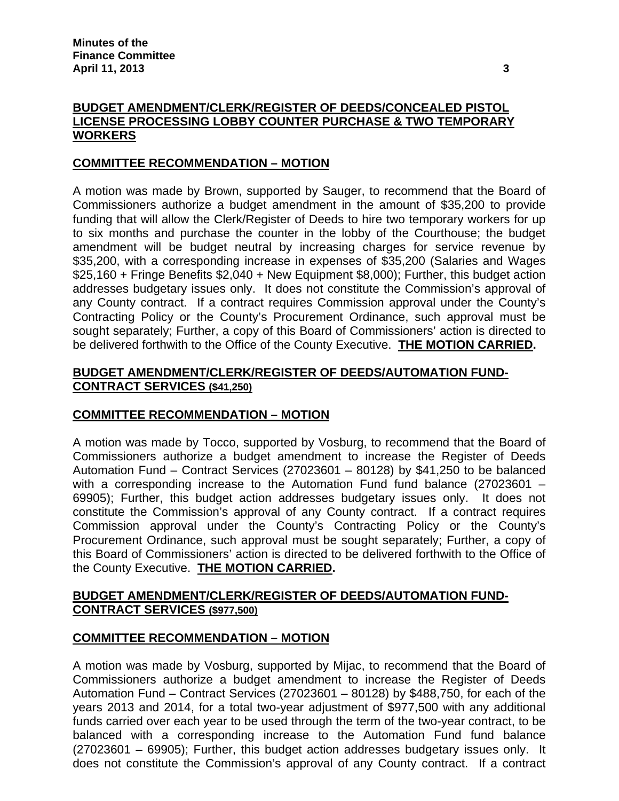# **BUDGET AMENDMENT/CLERK/REGISTER OF DEEDS/CONCEALED PISTOL LICENSE PROCESSING LOBBY COUNTER PURCHASE & TWO TEMPORARY WORKERS**

# **COMMITTEE RECOMMENDATION – MOTION**

A motion was made by Brown, supported by Sauger, to recommend that the Board of Commissioners authorize a budget amendment in the amount of \$35,200 to provide funding that will allow the Clerk/Register of Deeds to hire two temporary workers for up to six months and purchase the counter in the lobby of the Courthouse; the budget amendment will be budget neutral by increasing charges for service revenue by \$35,200, with a corresponding increase in expenses of \$35,200 (Salaries and Wages \$25,160 + Fringe Benefits \$2,040 + New Equipment \$8,000); Further, this budget action addresses budgetary issues only. It does not constitute the Commission's approval of any County contract. If a contract requires Commission approval under the County's Contracting Policy or the County's Procurement Ordinance, such approval must be sought separately; Further, a copy of this Board of Commissioners' action is directed to be delivered forthwith to the Office of the County Executive. **THE MOTION CARRIED.** 

## **BUDGET AMENDMENT/CLERK/REGISTER OF DEEDS/AUTOMATION FUND-CONTRACT SERVICES (\$41,250)**

# **COMMITTEE RECOMMENDATION – MOTION**

A motion was made by Tocco, supported by Vosburg, to recommend that the Board of Commissioners authorize a budget amendment to increase the Register of Deeds Automation Fund – Contract Services (27023601 – 80128) by \$41,250 to be balanced with a corresponding increase to the Automation Fund fund balance (27023601 – 69905); Further, this budget action addresses budgetary issues only. It does not constitute the Commission's approval of any County contract. If a contract requires Commission approval under the County's Contracting Policy or the County's Procurement Ordinance, such approval must be sought separately; Further, a copy of this Board of Commissioners' action is directed to be delivered forthwith to the Office of the County Executive. **THE MOTION CARRIED.** 

# **BUDGET AMENDMENT/CLERK/REGISTER OF DEEDS/AUTOMATION FUND-CONTRACT SERVICES (\$977,500)**

# **COMMITTEE RECOMMENDATION – MOTION**

A motion was made by Vosburg, supported by Mijac, to recommend that the Board of Commissioners authorize a budget amendment to increase the Register of Deeds Automation Fund – Contract Services (27023601 – 80128) by \$488,750, for each of the years 2013 and 2014, for a total two-year adjustment of \$977,500 with any additional funds carried over each year to be used through the term of the two-year contract, to be balanced with a corresponding increase to the Automation Fund fund balance (27023601 – 69905); Further, this budget action addresses budgetary issues only. It does not constitute the Commission's approval of any County contract. If a contract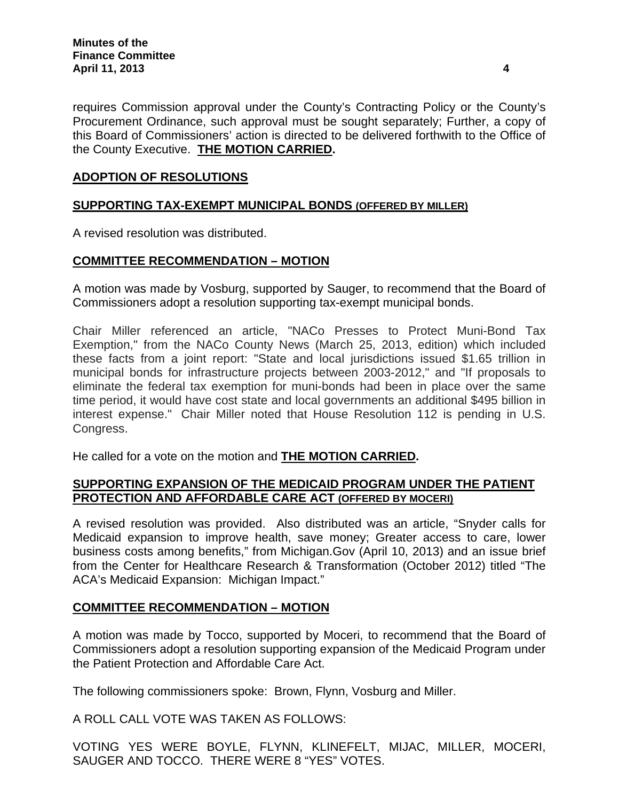requires Commission approval under the County's Contracting Policy or the County's Procurement Ordinance, such approval must be sought separately; Further, a copy of this Board of Commissioners' action is directed to be delivered forthwith to the Office of the County Executive. **THE MOTION CARRIED.** 

# **ADOPTION OF RESOLUTIONS**

# **SUPPORTING TAX-EXEMPT MUNICIPAL BONDS (OFFERED BY MILLER)**

A revised resolution was distributed.

# **COMMITTEE RECOMMENDATION – MOTION**

A motion was made by Vosburg, supported by Sauger, to recommend that the Board of Commissioners adopt a resolution supporting tax-exempt municipal bonds.

Chair Miller referenced an article, "NACo Presses to Protect Muni-Bond Tax Exemption," from the NACo County News (March 25, 2013, edition) which included these facts from a joint report: "State and local jurisdictions issued \$1.65 trillion in municipal bonds for infrastructure projects between 2003-2012," and "If proposals to eliminate the federal tax exemption for muni-bonds had been in place over the same time period, it would have cost state and local governments an additional \$495 billion in interest expense." Chair Miller noted that House Resolution 112 is pending in U.S. Congress.

He called for a vote on the motion and **THE MOTION CARRIED.** 

# **SUPPORTING EXPANSION OF THE MEDICAID PROGRAM UNDER THE PATIENT PROTECTION AND AFFORDABLE CARE ACT (OFFERED BY MOCERI)**

A revised resolution was provided. Also distributed was an article, "Snyder calls for Medicaid expansion to improve health, save money; Greater access to care, lower business costs among benefits," from Michigan.Gov (April 10, 2013) and an issue brief from the Center for Healthcare Research & Transformation (October 2012) titled "The ACA's Medicaid Expansion: Michigan Impact."

# **COMMITTEE RECOMMENDATION – MOTION**

A motion was made by Tocco, supported by Moceri, to recommend that the Board of Commissioners adopt a resolution supporting expansion of the Medicaid Program under the Patient Protection and Affordable Care Act.

The following commissioners spoke: Brown, Flynn, Vosburg and Miller.

A ROLL CALL VOTE WAS TAKEN AS FOLLOWS:

VOTING YES WERE BOYLE, FLYNN, KLINEFELT, MIJAC, MILLER, MOCERI, SAUGER AND TOCCO. THERE WERE 8 "YES" VOTES.